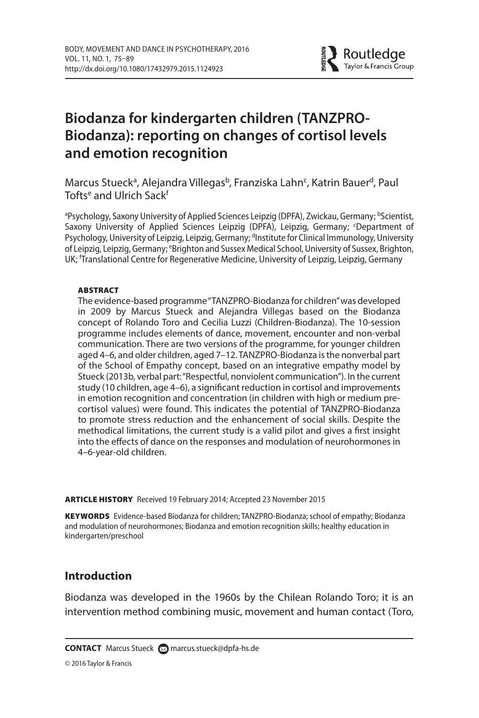

# **Biodanza for kindergarten children (TANZPRO-Biodanza): reporting on changes of cortisol levels and emotion recognition**

Marcus Stueck<sup>a</sup>, Alejandra Villegas<sup>b</sup>, Franziska Lahn<sup>c</sup>, Katrin Bauer<sup>d</sup>, Paul Tofts<sup>e</sup> and Ulrich Sack<sup>f</sup>

a Psychology, Saxony University of Applied Sciences Leipzig (DPFA), Zwickau, Germany; <sup>b</sup> Scientist, Saxony University of Applied Sciences Leipzig (DPFA), Leipzig, Germany: 'Department of Psychology, University of Leipzig, Leipzig, Germany; <sup>d</sup>Institute for Clinical Immunology, University of Leipzig, Leipzig, Germany; <sup>e</sup>Brighton and Sussex Medical School, University of Sussex, Brighton, UK; 'Translational Centre for Regenerative Medicine, University of Leipzig, Leipzig, Germany

#### **ABSTRACT**

 The evidence-based programme "TANZPRO-Biodanza for children" was developed in 2009 by Marcus Stueck and Alejandra Villegas based on the Biodanza concept of Rolando Toro and Cecilia Luzzi (Children-Biodanza). The 10-session programme includes elements of dance, movement, encounter and non-verbal communication. There are two versions of the programme, for younger children aged 4–6, and older children, aged 7–12. TANZPRO-Biodanza is the nonverbal part of the School of Empathy concept, based on an integrative empathy model by Stueck (2013b, verbal part: "Respectful, nonviolent communication"). In the current study (10 children, age  $4-6$ ), a significant reduction in cortisol and improvements in emotion recognition and concentration (in children with high or medium precortisol values) were found. This indicates the potential of TANZPRO-Biodanza to promote stress reduction and the enhancement of social skills. Despite the methodical limitations, the current study is a valid pilot and gives a first insight into the effects of dance on the responses and modulation of neurohormones in 4-6-year-old children.

 **ARTICLE HISTORY** Received 19 February 2014 ; Accepted 23 November 2015

**KEYWORDS** Evidence-based Biodanza for children; TANZPRO-Biodanza; school of empathy; Biodanza and modulation of neurohormones; Biodanza and emotion recognition skills; healthy education in kindergarten/preschool

### **Introduction**

 Biodanza was developed in the 1960s by the Chilean Rolando Toro; it is an intervention method combining music, movement and human contact (Toro,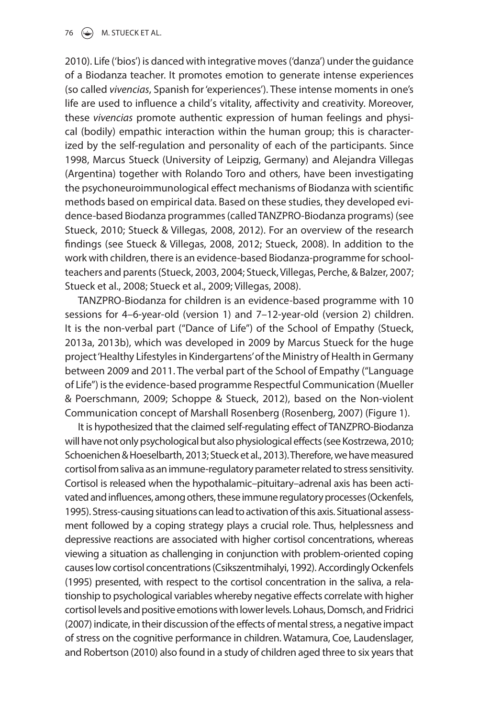76  $\left(\rightarrow\right)$  M. STUECK ET AL.

2010). Life ('bios') is danced with integrative moves ('danza') under the guidance of a Biodanza teacher. It promotes emotion to generate intense experiences (so called vivencias, Spanish for 'experiences'). These intense moments in one's life are used to influence a child's vitality, affectivity and creativity. Moreover, these vivencias promote authentic expression of human feelings and physical (bodily) empathic interaction within the human group; this is characterized by the self-regulation and personality of each of the participants. Since 1998, Marcus Stueck (University of Leipzig, Germany) and Alejandra Villegas (Argentina) together with Rolando Toro and others, have been investigating the psychoneuroimmunological effect mechanisms of Biodanza with scientific methods based on empirical data. Based on these studies, they developed evidence-based Biodanza programmes (called TANZPRO-Biodanza programs) (see Stueck, 2010; Stueck & Villegas, 2008, 2012). For an overview of the research findings (see Stueck & Villegas, 2008, 2012; Stueck, 2008). In addition to the work with children, there is an evidence-based Biodanza-programme for schoolteachers and parents (Stueck, 2003, 2004; Stueck, Villegas, Perche, & Balzer, 2007; Stueck et al., 2008; Stueck et al., 2009; Villegas, 2008).

 TANZPRO-Biodanza for children is an evidence-based programme with 10 sessions for 4–6-year-old (version 1) and 7–12-year-old (version 2) children. It is the non-verbal part ("Dance of Life") of the School of Empathy (Stueck, 2013a, 2013b), which was developed in 2009 by Marcus Stueck for the huge project 'Healthy Lifestyles in Kindergartens' of the Ministry of Health in Germany between 2009 and 2011. The verbal part of the School of Empathy ("Language of Life") is the evidence-based programme Respectful Communication (Mueller & Poerschmann, 2009; Schoppe & Stueck, 2012), based on the Non-violent Communication concept of Marshall Rosenberg (Rosenberg, 2007) (Figure 1).

It is hypothesized that the claimed self-regulating effect of TANZPRO-Biodanza will have not only psychological but also physiological effects (see Kostrzewa, 2010; Schoenichen & Hoeselbarth, 2013 ; Stueck et al., 2013 ). Therefore, we have measured cortisol from saliva as an immune-regulatory parameter related to stress sensitivity. Cortisol is released when the hypothalamic–pituitary–adrenal axis has been activated and influences, among others, these immune regulatory processes (Ockenfels, 1995). Stress-causing situations can lead to activation of this axis. Situational assessment followed by a coping strategy plays a crucial role. Thus, helplessness and depressive reactions are associated with higher cortisol concentrations, whereas viewing a situation as challenging in conjunction with problem-oriented coping causes low cortisol concentrations (Csikszentmihalyi, 1992). Accordingly Ockenfels (1995) presented, with respect to the cortisol concentration in the saliva, a relationship to psychological variables whereby negative effects correlate with higher cortisol levels and positive emotions with lower levels. Lohaus, Domsch, and Fridrici (2007) indicate, in their discussion of the effects of mental stress, a negative impact of stress on the cognitive performance in children. Watamura, Coe, Laudenslager, and Robertson (2010) also found in a study of children aged three to six years that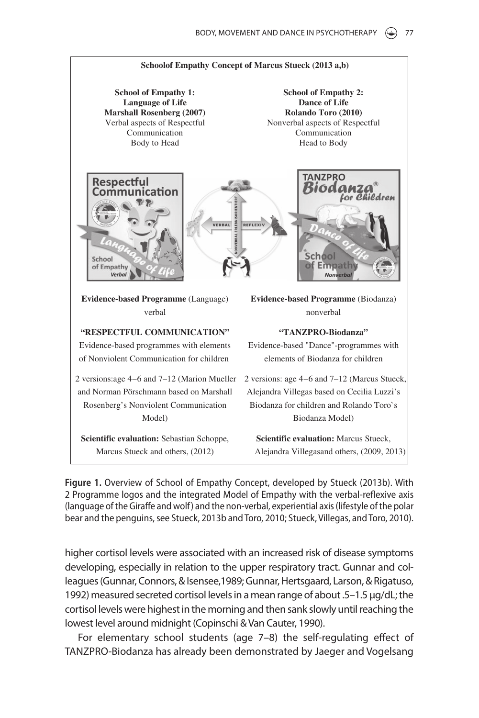

**Figure 1.** Overview of School of Empathy Concept, developed by Stueck (2013b). With 2 Programme logos and the integrated Model of Empathy with the verbal-reflexive axis (language of the Giraffe and wolf) and the non-verbal, experiential axis (lifestyle of the polar bear and the penguins, see Stueck, 2013b and Toro, 2010; Stueck, Villegas, and Toro, 2010).

higher cortisol levels were associated with an increased risk of disease symptoms developing, especially in relation to the upper respiratory tract. Gunnar and colleagues (Gunnar, Connors, & Isensee, 1989; Gunnar, Hertsgaard, Larson, & Rigatuso, 1992 ) measured secreted cortisol levels in a mean range of about .5–1.5 μg/dL; the cortisol levels were highest in the morning and then sank slowly until reaching the lowest level around midnight (Copinschi & Van Cauter, 1990).

For elementary school students (age 7-8) the self-regulating effect of TANZPRO-Biodanza has already been demonstrated by Jaeger and Vogelsang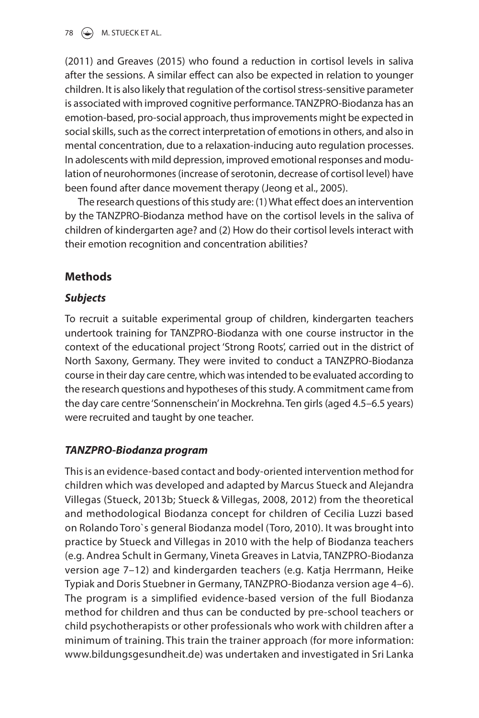(2011) and Greaves (2015) who found a reduction in cortisol levels in saliva after the sessions. A similar effect can also be expected in relation to younger children. It is also likely that regulation of the cortisol stress-sensitive parameter is associated with improved cognitive performance. TANZPRO-Biodanza has an emotion-based, pro-social approach, thus improvements might be expected in social skills, such as the correct interpretation of emotions in others, and also in mental concentration, due to a relaxation-inducing auto regulation processes. In adolescents with mild depression, improved emotional responses and modulation of neurohormones (increase of serotonin, decrease of cortisol level) have been found after dance movement therapy (Jeong et al., 2005).

The research questions of this study are: (1) What effect does an intervention by the TANZPRO-Biodanza method have on the cortisol levels in the saliva of children of kindergarten age? and (2) How do their cortisol levels interact with their emotion recognition and concentration abilities?

# **Methods**

## **Subjects**

 To recruit a suitable experimental group of children, kindergarten teachers undertook training for TANZPRO-Biodanza with one course instructor in the context of the educational project 'Strong Roots', carried out in the district of North Saxony, Germany. They were invited to conduct a TANZPRO-Biodanza course in their day care centre, which was intended to be evaluated according to the research questions and hypotheses of this study. A commitment came from the day care centre 'Sonnenschein' in Mockrehna. Ten girls (aged 4.5–6.5 years) were recruited and taught by one teacher.

## **TANZPRO-Biodanza program**

 This is an evidence-based contact and body-oriented intervention method for children which was developed and adapted by Marcus Stueck and Alejandra Villegas (Stueck, 2013b; Stueck & Villegas, 2008, 2012) from the theoretical and methodological Biodanza concept for children of Cecilia Luzzi based on Rolando Toro's general Biodanza model (Toro, 2010). It was brought into practice by Stueck and Villegas in 2010 with the help of Biodanza teachers (e.g. Andrea Schult in Germany, Vineta Greaves in Latvia, TANZPRO-Biodanza version age 7–12) and kindergarden teachers (e.g. Katja Herrmann, Heike Typiak and Doris Stuebner in Germany, TANZPRO-Biodanza version age 4–6). The program is a simplified evidence-based version of the full Biodanza method for children and thus can be conducted by pre-school teachers or child psychotherapists or other professionals who work with children after a minimum of training. This train the trainer approach (for more information: www.bildungsgesundheit.de) was undertaken and investigated in Sri Lanka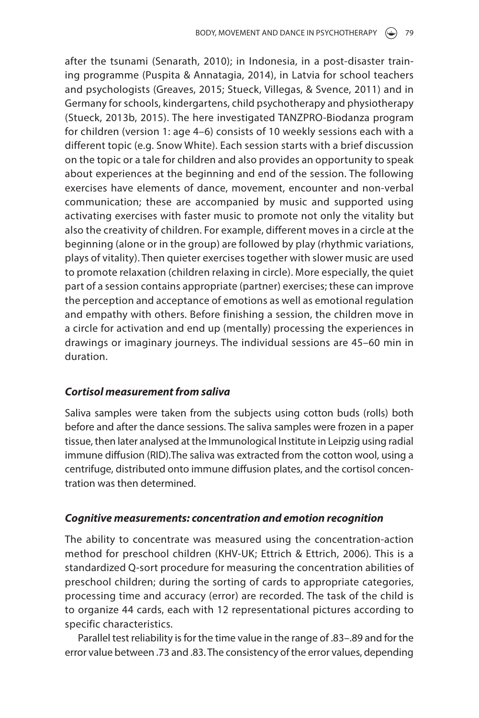after the tsunami (Senarath, 2010); in Indonesia, in a post-disaster training programme (Puspita & Annatagia, 2014 ), in Latvia for school teachers and psychologists (Greaves, 2015; Stueck, Villegas, & Svence, 2011) and in Germany for schools, kindergartens, child psychotherapy and physiotherapy (Stueck, 2013b, 2015). The here investigated TANZPRO-Biodanza program for children (version 1: age 4–6) consists of 10 weekly sessions each with a different topic (e.g. Snow White). Each session starts with a brief discussion on the topic or a tale for children and also provides an opportunity to speak about experiences at the beginning and end of the session. The following exercises have elements of dance, movement, encounter and non-verbal communication; these are accompanied by music and supported using activating exercises with faster music to promote not only the vitality but also the creativity of children. For example, different moves in a circle at the beginning (alone or in the group) are followed by play (rhythmic variations, plays of vitality). Then quieter exercises together with slower music are used to promote relaxation (children relaxing in circle). More especially, the quiet part of a session contains appropriate (partner) exercises; these can improve the perception and acceptance of emotions as well as emotional regulation and empathy with others. Before finishing a session, the children move in a circle for activation and end up (mentally) processing the experiences in drawings or imaginary journeys. The individual sessions are 45–60 min in duration.

### **Cortisol measurement from saliva**

 Saliva samples were taken from the subjects using cotton buds (rolls) both before and after the dance sessions. The saliva samples were frozen in a paper tissue, then later analysed at the Immunological Institute in Leipzig using radial immune diffusion (RID). The saliva was extracted from the cotton wool, using a centrifuge, distributed onto immune diffusion plates, and the cortisol concentration was then determined.

### **Cognitive measurements: concentration and emotion recognition**

 The ability to concentrate was measured using the concentration-action method for preschool children (KHV-UK; Ettrich & Ettrich, 2006). This is a standardized Q-sort procedure for measuring the concentration abilities of preschool children; during the sorting of cards to appropriate categories, processing time and accuracy (error) are recorded. The task of the child is to organize 44 cards, each with 12 representational pictures according to specific characteristics.

 Parallel test reliability is for the time value in the range of .83–.89 and for the error value between .73 and .83. The consistency of the error values, depending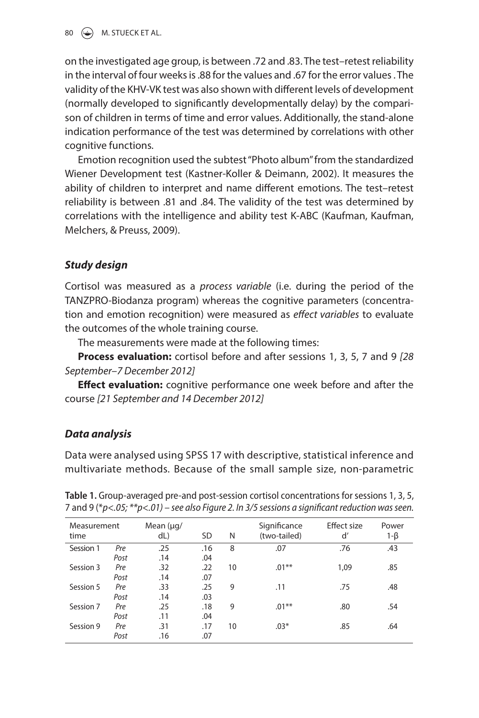on the investigated age group, is between .72 and .83. The test–retest reliability in the interval of four weeks is .88 for the values and .67 for the error values . The validity of the KHV-VK test was also shown with different levels of development (normally developed to significantly developmentally delay) by the comparison of children in terms of time and error values. Additionally, the stand-alone indication performance of the test was determined by correlations with other cognitive functions.

 Emotion recognition used the subtest "Photo album" from the standardized Wiener Development test (Kastner-Koller & Deimann, 2002). It measures the ability of children to interpret and name different emotions. The test-retest reliability is between .81 and .84. The validity of the test was determined by correlations with the intelligence and ability test K-ABC (Kaufman, Kaufman, Melchers, & Preuss, 2009).

### **Study design**

 Cortisol was measured as a process variable (i.e. during the period of the TANZPRO-Biodanza program) whereas the cognitive parameters (concentration and emotion recognition) were measured as effect variables to evaluate the outcomes of the whole training course.

The measurements were made at the following times:

**Process evaluation:** cortisol before and after sessions 1, 3, 5, 7 and 9 [28 September-7 December 2012]

**Effect evaluation:** cognitive performance one week before and after the course [21 September and 14 December 2012]

### **Data analysis**

 Data were analysed using SPSS 17 with descriptive, statistical inference and multivariate methods. Because of the small sample size, non-parametric

**Table 1.** Group-averaged pre-and post-session cortisol concentrations for sessions 1, 3, 5, 7 and 9 ( $p$ <.05; \*\* $p$ <.01) – see also Figure 2. In 3/5 sessions a significant reduction was seen.

| Measurement<br>time |      | Mean $(\mu q)$<br>dL | <b>SD</b><br>N |    | Significance<br>(two-tailed) | Effect size<br>ď | Power<br>$1-\beta$ |
|---------------------|------|----------------------|----------------|----|------------------------------|------------------|--------------------|
| Session 1           | Pre  | .25                  | .16            | 8  | .07                          | .76              | .43                |
|                     | Post | .14                  | .04            |    |                              |                  |                    |
| Session 3           | Pre  | .32                  | .22            | 10 | $.01***$                     | 1,09             | .85                |
|                     | Post | .14                  | .07            |    |                              |                  |                    |
| Session 5           | Pre  | .33                  | .25            | 9  | .11                          | .75              | .48                |
|                     | Post | .14                  | .03            |    |                              |                  |                    |
| Session 7           | Pre  | .25                  | .18            | 9  | $.01***$                     | .80              | .54                |
|                     | Post | .11                  | .04            |    |                              |                  |                    |
| Session 9           | Pre  | .31                  | .17            | 10 | $.03*$                       | .85              | .64                |
|                     | Post | .16                  | .07            |    |                              |                  |                    |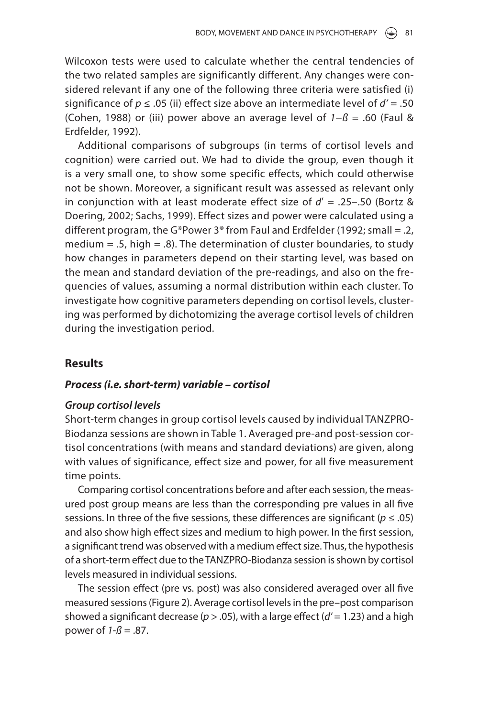Wilcoxon tests were used to calculate whether the central tendencies of the two related samples are significantly different. Any changes were considered relevant if any one of the following three criteria were satisfied (i) significance of  $p \le 0.05$  (ii) effect size above an intermediate level of  $d' = 0.50$ (Cohen, 1988) or (iii) power above an average level of  $1-\beta = .60$  (Faul & Erdfelder, 1992).

 Additional comparisons of subgroups (in terms of cortisol levels and cognition) were carried out. We had to divide the group, even though it is a very small one, to show some specific effects, which could otherwise not be shown. Moreover, a significant result was assessed as relevant only in conjunction with at least moderate effect size of  $d' = .25-.50$  (Bortz & Doering, 2002; Sachs, 1999). Effect sizes and power were calculated using a different program, the G\*Power 3<sup>®</sup> from Faul and Erdfelder (1992; small = .2, medium  $=$  .5, high  $=$  .8). The determination of cluster boundaries, to study how changes in parameters depend on their starting level, was based on the mean and standard deviation of the pre-readings, and also on the frequencies of values, assuming a normal distribution within each cluster. To investigate how cognitive parameters depending on cortisol levels, clustering was performed by dichotomizing the average cortisol levels of children during the investigation period.

### **Results**

#### **Process (i.e. short-term) variable – cortisol**

#### **Group cortisol levels**

 Short-term changes in group cortisol levels caused by individual TANZPRO-Biodanza sessions are shown in Table 1 . Averaged pre-and post-session cortisol concentrations (with means and standard deviations) are given, along with values of significance, effect size and power, for all five measurement time points.

 Comparing cortisol concentrations before and after each session, the measured post group means are less than the corresponding pre values in all five sessions. In three of the five sessions, these differences are significant ( $p \le 0.05$ ) and also show high effect sizes and medium to high power. In the first session, a significant trend was observed with a medium effect size. Thus, the hypothesis of a short-term effect due to the TANZPRO-Biodanza session is shown by cortisol levels measured in individual sessions.

The session effect (pre vs. post) was also considered averaged over all five measured sessions (Figure 2). Average cortisol levels in the pre–post comparison showed a significant decrease ( $p > .05$ ), with a large effect ( $d' = 1.23$ ) and a high power of  $1-\beta = .87$ .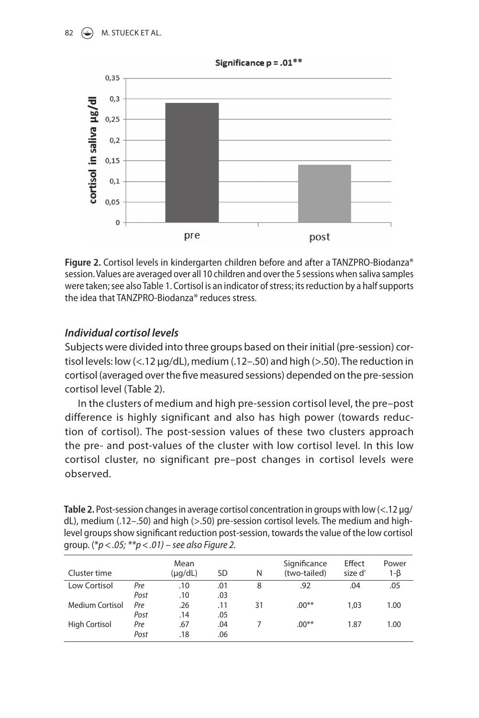

Figure 2. Cortisol levels in kindergarten children before and after a TANZPRO-Biodanza<sup>®</sup> session. Values are averaged over all 10 children and over the 5 sessions when saliva samples were taken; see also Table 1 . Cortisol is an indicator of stress; its reduction by a half supports the idea that TANZPRO-Biodanza® reduces stress.

### **Individual cortisol levels**

 Subjects were divided into three groups based on their initial (pre-session) cortisol levels: low (<.12 μg/dL), medium (.12–.50) and high (>.50). The reduction in cortisol (averaged over the five measured sessions) depended on the pre-session cortisol level (Table 2).

 In the clusters of medium and high pre-session cortisol level, the pre–post difference is highly significant and also has high power (towards reduction of cortisol). The post-session values of these two clusters approach the pre- and post-values of the cluster with low cortisol level. In this low cortisol cluster, no significant pre–post changes in cortisol levels were observed.

| Table 2. Post-session changes in average cortisol concentration in groups with low $\langle$ < 12 µg/ |
|-------------------------------------------------------------------------------------------------------|
| dL), medium (.12–.50) and high (>.50) pre-session cortisol levels. The medium and high-               |
| level groups show significant reduction post-session, towards the value of the low cortisol           |
| group. $(*p < .05; **p < .01)$ – see also Figure 2.                                                   |

| Cluster time           |      | Mean<br>$(\mu q/dL)$ | SD  | N  | Significance<br>(two-tailed) | Effect<br>size d' | Power<br>$1-\beta$ |
|------------------------|------|----------------------|-----|----|------------------------------|-------------------|--------------------|
| Low Cortisol           | Pre  | .10                  | .01 | 8  | .92                          | .04               | .05                |
|                        | Post | .10                  | .03 |    |                              |                   |                    |
| <b>Medium Cortisol</b> | Pre  | .26                  | .11 | 31 | $.00**$                      | 1.03              | 1.00               |
|                        | Post | .14                  | .05 |    |                              |                   |                    |
| <b>High Cortisol</b>   | Pre  | .67                  | .04 |    | $.00**$                      | 1.87              | 1.00               |
|                        | Post | .18                  | .06 |    |                              |                   |                    |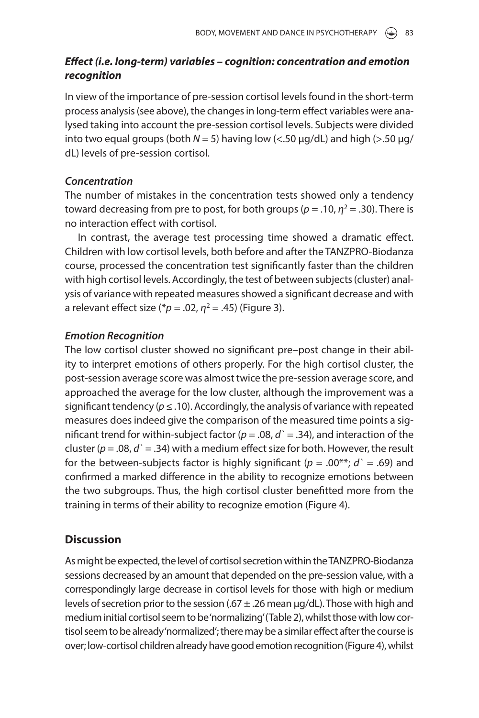# **Effect (i.e. long-term) variables – cognition: concentration and emotion recognition**

 In view of the importance of pre-session cortisol levels found in the short-term process analysis (see above), the changes in long-term effect variables were analysed taking into account the pre-session cortisol levels. Subjects were divided into two equal groups (both  $N = 5$ ) having low (<.50  $\mu$ g/dL) and high (>.50  $\mu$ g/ dL) levels of pre-session cortisol.

### **Concentration**

 The number of mistakes in the concentration tests showed only a tendency toward decreasing from pre to post, for both groups ( $p = .10$ ,  $n^2 = .30$ ). There is no interaction effect with cortisol.

In contrast, the average test processing time showed a dramatic effect. Children with low cortisol levels, both before and after the TANZPRO-Biodanza course, processed the concentration test significantly faster than the children with high cortisol levels. Accordingly, the test of between subjects (cluster) analysis of variance with repeated measures showed a significant decrease and with a relevant effect size (\* $p = .02$ ,  $n^2 = .45$ ) (Figure 3).

## **Emotion Recognition**

The low cortisol cluster showed no significant pre–post change in their ability to interpret emotions of others properly. For the high cortisol cluster, the post-session average score was almost twice the pre-session average score, and approached the average for the low cluster, although the improvement was a significant tendency ( $p \le 10$ ). Accordingly, the analysis of variance with repeated measures does indeed give the comparison of the measured time points a significant trend for within-subject factor ( $p = .08$ ,  $d = .34$ ), and interaction of the cluster ( $p = .08$ ,  $d = .34$ ) with a medium effect size for both. However, the result for the between-subjects factor is highly significant ( $p = .00^{**}$ ;  $d^{\prime} = .69$ ) and confirmed a marked difference in the ability to recognize emotions between the two subgroups. Thus, the high cortisol cluster benefitted more from the training in terms of their ability to recognize emotion (Figure 4).

# **Discussion**

 As might be expected, the level of cortisol secretion within the TANZPRO-Biodanza sessions decreased by an amount that depended on the pre-session value, with a correspondingly large decrease in cortisol levels for those with high or medium levels of secretion prior to the session (.67  $\pm$  .26 mean  $\mu$ g/dL). Those with high and medium initial cortisol seem to be 'normalizing' (Table 2), whilst those with low cortisol seem to be already 'normalized'; there may be a similar effect after the course is over; low-cortisol children already have good emotion recognition (Figure 4), whilst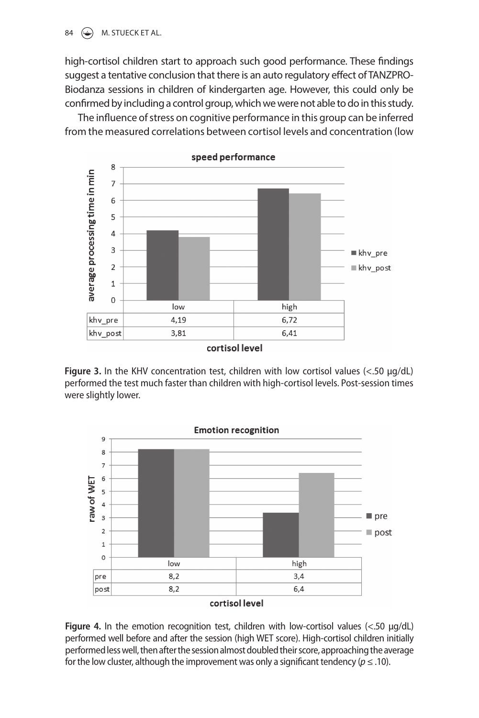#### 84 **M. STUECK ET AL.**

high-cortisol children start to approach such good performance. These findings suggest a tentative conclusion that there is an auto regulatory effect of TANZPRO-Biodanza sessions in children of kindergarten age. However, this could only be confirmed by including a control group, which we were not able to do in this study.

The influence of stress on cognitive performance in this group can be inferred from the measured correlations between cortisol levels and concentration (low



**Figure 3.** In the KHV concentration test, children with low cortisol values (<.50 μg/dL) performed the test much faster than children with high-cortisol levels. Post-session times were slightly lower.



 **Figure 4.**  In the emotion recognition test, children with low-cortisol values (<.50 μg/dL) performed well before and after the session (high WET score). High-cortisol children initially performed less well, then after the session almost doubled their score, approaching the average for the low cluster, although the improvement was only a significant tendency ( $p \le 10$ ).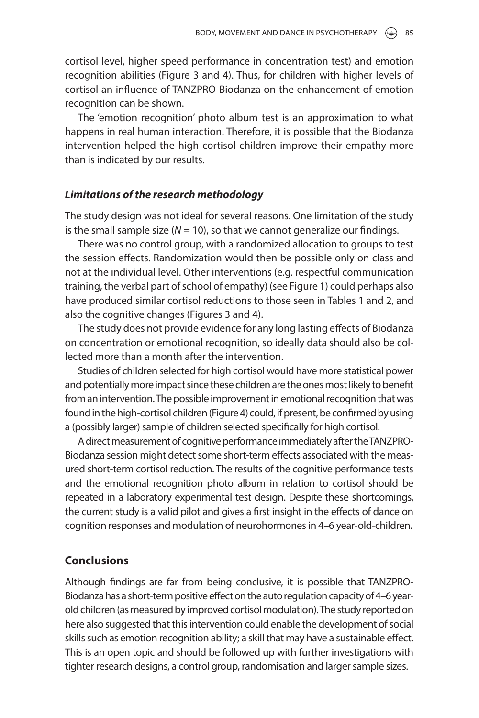cortisol level, higher speed performance in concentration test) and emotion recognition abilities (Figure 3 and 4). Thus, for children with higher levels of cortisol an influence of TANZPRO-Biodanza on the enhancement of emotion recognition can be shown.

 The 'emotion recognition' photo album test is an approximation to what happens in real human interaction. Therefore, it is possible that the Biodanza intervention helped the high-cortisol children improve their empathy more than is indicated by our results.

#### **Limitations of the research methodology**

 The study design was not ideal for several reasons. One limitation of the study is the small sample size ( $N = 10$ ), so that we cannot generalize our findings.

 There was no control group, with a randomized allocation to groups to test the session effects. Randomization would then be possible only on class and not at the individual level. Other interventions (e.g. respectful communication training, the verbal part of school of empathy) (see Figure 1) could perhaps also have produced similar cortisol reductions to those seen in Tables 1 and 2, and also the cognitive changes (Figures 3 and 4).

The study does not provide evidence for any long lasting effects of Biodanza on concentration or emotional recognition, so ideally data should also be collected more than a month after the intervention.

 Studies of children selected for high cortisol would have more statistical power and potentially more impact since these children are the ones most likely to benefit from an intervention. The possible improvement in emotional recognition that was found in the high-cortisol children (Figure 4) could, if present, be confirmed by using a (possibly larger) sample of children selected specifically for high cortisol.

 A direct measurement of cognitive performance immediately after the TANZPRO-Biodanza session might detect some short-term effects associated with the measured short-term cortisol reduction. The results of the cognitive performance tests and the emotional recognition photo album in relation to cortisol should be repeated in a laboratory experimental test design. Despite these shortcomings, the current study is a valid pilot and gives a first insight in the effects of dance on cognition responses and modulation of neurohormones in 4–6 year-old-children.

### **Conclusions**

Although findings are far from being conclusive, it is possible that TANZPRO-Biodanza has a short-term positive effect on the auto regulation capacity of 4–6 yearold children (as measured by improved cortisol modulation). The study reported on here also suggested that this intervention could enable the development of social skills such as emotion recognition ability; a skill that may have a sustainable effect. This is an open topic and should be followed up with further investigations with tighter research designs, a control group, randomisation and larger sample sizes.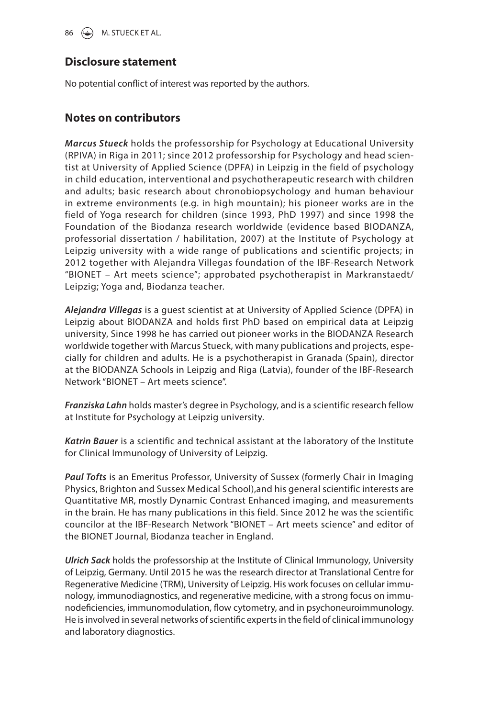86  $\left(\bigstar\right)$  M. STUECK ET AL.

### **Disclosure statement**

No potential conflict of interest was reported by the authors.

#### **Notes on contributors**

**Marcus Stueck** holds the professorship for Psychology at Educational University (RPIVA) in Riga in 2011; since 2012 professorship for Psychology and head scientist at University of Applied Science (DPFA) in Leipzig in the field of psychology in child education, interventional and psychotherapeutic research with children and adults; basic research about chronobiopsychology and human behaviour in extreme environments (e.g. in high mountain); his pioneer works are in the field of Yoga research for children (since 1993, PhD 1997) and since 1998 the Foundation of the Biodanza research worldwide (evidence based BIODANZA, professorial dissertation / habilitation, 2007) at the Institute of Psychology at Leipzig university with a wide range of publications and scientific projects; in 2012 together with Alejandra Villegas foundation of the IBF-Research Network "BIONET – Art meets science"; approbated psychotherapist in Markranstaedt/ Leipzig; Yoga and, Biodanza teacher.

**Alejandra Villegas** is a guest scientist at at University of Applied Science (DPFA) in Leipzig about BIODANZA and holds first PhD based on empirical data at Leipzig university, Since 1998 he has carried out pioneer works in the BIODANZA Research worldwide together with Marcus Stueck, with many publications and projects, especially for children and adults. He is a psychotherapist in Granada (Spain), director at the BIODANZA Schools in Leipzig and Riga (Latvia), founder of the IBF-Research Network "BIONET – Art meets science".

**Franziska Lahn** holds master's degree in Psychology, and is a scientific research fellow at Institute for Psychology at Leipzig university.

**Katrin Bauer** is a scientific and technical assistant at the laboratory of the Institute for Clinical Immunology of University of Leipzig.

**Paul Tofts** is an Emeritus Professor, University of Sussex (formerly Chair in Imaging Physics, Brighton and Sussex Medical School),and his general scientific interests are Quantitative MR, mostly Dynamic Contrast Enhanced imaging, and measurements in the brain. He has many publications in this field. Since 2012 he was the scientific councilor at the IBF-Research Network "BIONET – Art meets science" and editor of the BIONET Journal, Biodanza teacher in England.

 **Ulrich Sack** holds the professorship at the Institute of Clinical Immunology, University of Leipzig, Germany. Until 2015 he was the research director at Translational Centre for Regenerative Medicine (TRM), University of Leipzig. His work focuses on cellular immunology, immunodiagnostics, and regenerative medicine, with a strong focus on immunodeficiencies, immunomodulation, flow cytometry, and in psychoneuroimmunology. He is involved in several networks of scientific experts in the field of clinical immunology and laboratory diagnostics.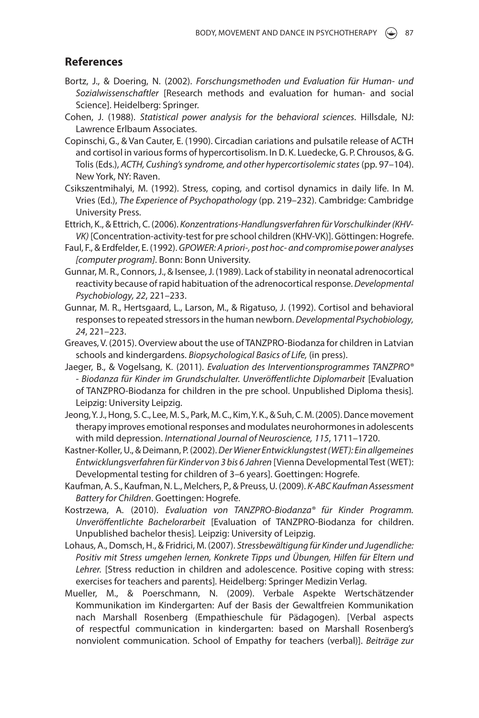### **References**

- Bortz, J., & Doering, N. (2002). Forschungsmethoden und Evaluation für Human- und Sozialwissenschaftler [Research methods and evaluation for human- and social Sciencel. Heidelberg: Springer.
- Cohen, J. (1988). Statistical power analysis for the behavioral sciences. Hillsdale, NJ: Lawrence Erlbaum Associates.
- Copinschi, G., & Van Cauter, E. (1990). Circadian cariations and pulsatile release of ACTH and cortisol in various forms of hypercortisolism. In D. K. Luedecke, G. P. Chrousos, & G. Tolis (Eds.), ACTH, Cushing's syndrome, and other hypercortisolemic states (pp. 97–104). New York, NY: Raven.
- Csikszentmihalyi, M. (1992). Stress, coping, and cortisol dynamics in daily life. In M. Vries (Ed.), The Experience of Psychopathology (pp. 219–232). Cambridge: Cambridge University Press.
- Ettrich , K. , & Ettrich , C. ( 2006 ). Konzentrations-Handlungsverfahren für Vorschulkinder (KHV-VK) [Concentration-activity-test for pre school children (KHV-VK)]. Göttingen: Hogrefe.
- Faul, F., & Erdfelder, E. (1992). GPOWER: A priori-, post hoc- and compromise power analyses [computer program]. Bonn: Bonn University.
- Gunnar, M. R., Connors, J., & Isensee, J. (1989). Lack of stability in neonatal adrenocortical reactivity because of rapid habituation of the adrenocortical response . Developmental Psychobiology, 22, 221-233.
- Gunnar, M. R., Hertsgaard, L., Larson, M., & Rigatuso, J. (1992). Cortisol and behavioral responses to repeated stressors in the human newborn. Developmental Psychobiology, 24, 221-223.
- Greaves , V. ( 2015 ). Overview about the use of TANZPRO-Biodanza for children in Latvian schools and kindergardens. Biopsychological Basics of Life, (in press).
- Jaeger, B., & Vogelsang, K. (2011). Evaluation des Interventionsprogrammes TANZPRO® - Biodanza für Kinder im Grundschulalter. Unveröffentlichte Diplomarbeit [Evaluation of TANZPRO-Biodanza for children in the pre school. Unpublished Diploma thesis] . Leipzig: University Leipzig.
- Jeong, Y. J., Hong, S. C., Lee, M. S., Park, M. C., Kim, Y. K., & Suh, C. M. (2005). Dance movement therapy improves emotional responses and modulates neurohormones in adolescents with mild depression. International Journal of Neuroscience, 115, 1711-1720.
- Kastner-Koller, U., & Deimann, P. (2002). Der Wiener Entwicklungstest (WET): Ein allgemeines Entwicklungsverfahren für Kinder von 3 bis 6 Jahren [Vienna Developmental Test (WET): Developmental testing for children of 3–6 years]. Goettingen: Hogrefe.
- Kaufman, A. S., Kaufman, N. L., Melchers, P., & Preuss, U. (2009). K-ABC Kaufman Assessment Battery for Children. Goettingen: Hogrefe.
- Kostrzewa, A. (2010). Evaluation von TANZPRO-Biodanza® für Kinder Programm. Unveröffentlichte Bachelorarbeit [Evaluation of TANZPRO-Biodanza for children. Unpublished bachelor thesis]. Leipzig: University of Leipzig.
- Lohaus, A., Domsch, H., & Fridrici, M. (2007). Stressbewältigung für Kinder und Jugendliche: Positiv mit Stress umgehen lernen, Konkrete Tipps und Übungen, Hilfen für Eltern und Lehrer. [Stress reduction in children and adolescence. Positive coping with stress: exercises for teachers and parents]. Heidelberg: Springer Medizin Verlag.
- Mueller, M., & Poerschmann, N. (2009). Verbale Aspekte Wertschätzender Kommunikation im Kindergarten: Auf der Basis der Gewaltfreien Kommunikation nach Marshall Rosenberg (Empathieschule für Pädagogen). [Verbal aspects of respectful communication in kindergarten: based on Marshall Rosenberg's nonviolent communication. School of Empathy for teachers (verbal)]. Beiträge zur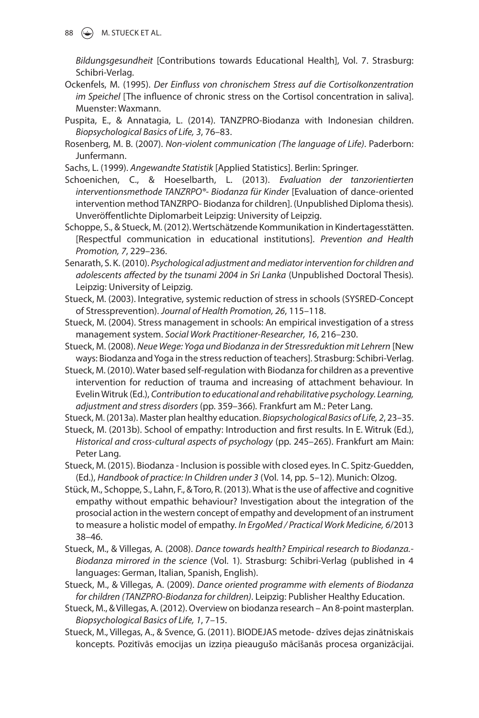88  $\left(\bigstar\right)$  M. STUECK ET AL.

Bildungsgesundheit [Contributions towards Educational Health], Vol. 7. Strasburg: Schibri-Verlag.

- Ockenfels, M. (1995). Der Einfluss von chronischem Stress auf die Cortisolkonzentration im Speichel [The influence of chronic stress on the Cortisol concentration in saliva]. Muenster: Waxmann.
- Puspita, E., & Annatagia, L. (2014). TANZPRO-Biodanza with Indonesian children. Biopsychological Basics of Life, 3, 76-83.
- Rosenberg, M. B. (2007). Non-violent communication (The language of Life). Paderborn: Junfermann.
- Sachs, L. (1999). Angewandte Statistik [Applied Statistics]. Berlin: Springer.
- Schoenichen, C., & Hoeselbarth, L. (2013). Evaluation der tanzorientierten interventionsmethode TANZRPO®- Biodanza für Kinder [Evaluation of dance-oriented intervention method TANZRPO- Biodanza for children]. (Unpublished Diploma thesis) . Unveröffentlichte Diplomarbeit Leipzig: University of Leipzig.
- Schoppe, S., & Stueck, M. (2012). Wertschätzende Kommunikation in Kindertagesstätten. [Respectful communication in educational institutions]. Prevention and Health Promotion, 7, 229-236.
- Senarath, S. K. (2010). Psychological adjustment and mediator intervention for children and adolescents affected by the tsunami 2004 in Sri Lanka (Unpublished Doctoral Thesis). Leipzig: University of Leipzig.
- Stueck, M. (2003). Integrative, systemic reduction of stress in schools (SYSRED-Concept of Stressprevention). Journal of Health Promotion, 26, 115-118.
- Stueck , M. ( 2004 ). Stress management in schools: An empirical investigation of a stress management system. Social Work Practitioner-Researcher, 16, 216-230.
- Stueck, M. (2008). Neue Wege: Yoga und Biodanza in der Stressreduktion mit Lehrern [New ways: Biodanza and Yoga in the stress reduction of teachers]. Strasburg: Schibri-Verlag.
- Stueck , M. ( 2010 ). Water based self-regulation with Biodanza for children as a preventive intervention for reduction of trauma and increasing of attachment behaviour . In Evelin Witruk (Ed.), Contribution to educational and rehabilitative psychology. Learning, adjustment and stress disorders (pp. 359–366). Frankfurt am M.: Peter Lang.

Stueck, M. (2013a). Master plan healthy education. Biopsychological Basics of Life, 2, 23–35.

- Stueck, M. (2013b). School of empathy: Introduction and first results. In E. Witruk (Ed.), Historical and cross-cultural aspects of psychology (pp. 245–265). Frankfurt am Main: Peter Lang.
- Stueck, M. (2015). Biodanza Inclusion is possible with closed eyes. In C. Spitz-Guedden, (Ed.), Handbook of practice: In Children under 3 (Vol. 14, pp. 5–12). Munich: Olzog.
- Stück, M., Schoppe, S., Lahn, F., & Toro, R. (2013). What is the use of affective and cognitive empathy without empathic behaviour? Investigation about the integration of the prosocial action in the western concept of empathy and development of an instrument to measure a holistic model of empathy. In ErgoMed / Practical Work Medicine, 6/2013  $38 - 46$ .
- Stueck, M., & Villegas, A. (2008). Dance towards health? Empirical research to Biodanza.-Biodanza mirrored in the science (Vol. 1). Strasburg: Schibri-Verlag (published in 4 languages: German, Italian, Spanish, English) .
- Stueck, M., & Villegas, A. (2009). Dance oriented programme with elements of Biodanza for children (TANZPRO-Biodanza for children). Leipzig: Publisher Healthy Education.
- Stueck, M., & Villegas, A. (2012). Overview on biodanza research An 8-point masterplan. Biopsychological Basics of Life, 1, 7-15.
- Stueck , M. , Villegas , A. , & Svence , G. ( 2011 ). BIODEJAS metode- dzīves dejas zinātniskais koncepts. Pozitīvās emocijas un izziņa pieaugušo mācīšanās procesa organizācijai.